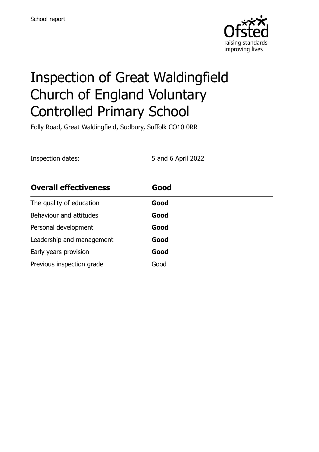

# Inspection of Great Waldingfield Church of England Voluntary Controlled Primary School

Folly Road, Great Waldingfield, Sudbury, Suffolk CO10 0RR

Inspection dates: 5 and 6 April 2022

| <b>Overall effectiveness</b> | Good |
|------------------------------|------|
| The quality of education     | Good |
| Behaviour and attitudes      | Good |
| Personal development         | Good |
| Leadership and management    | Good |
| Early years provision        | Good |
| Previous inspection grade    | Good |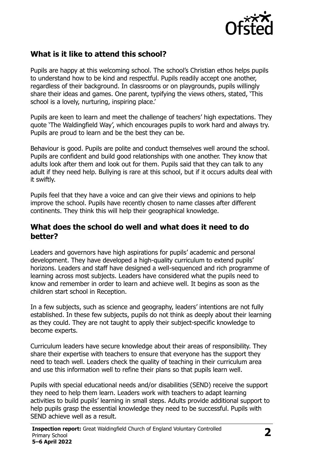

# **What is it like to attend this school?**

Pupils are happy at this welcoming school. The school's Christian ethos helps pupils to understand how to be kind and respectful. Pupils readily accept one another, regardless of their background. In classrooms or on playgrounds, pupils willingly share their ideas and games. One parent, typifying the views others, stated, 'This school is a lovely, nurturing, inspiring place.'

Pupils are keen to learn and meet the challenge of teachers' high expectations. They quote 'The Waldingfield Way', which encourages pupils to work hard and always try. Pupils are proud to learn and be the best they can be.

Behaviour is good. Pupils are polite and conduct themselves well around the school. Pupils are confident and build good relationships with one another. They know that adults look after them and look out for them. Pupils said that they can talk to any adult if they need help. Bullying is rare at this school, but if it occurs adults deal with it swiftly.

Pupils feel that they have a voice and can give their views and opinions to help improve the school. Pupils have recently chosen to name classes after different continents. They think this will help their geographical knowledge.

#### **What does the school do well and what does it need to do better?**

Leaders and governors have high aspirations for pupils' academic and personal development. They have developed a high-quality curriculum to extend pupils' horizons. Leaders and staff have designed a well-sequenced and rich programme of learning across most subjects. Leaders have considered what the pupils need to know and remember in order to learn and achieve well. It begins as soon as the children start school in Reception.

In a few subjects, such as science and geography, leaders' intentions are not fully established. In these few subjects, pupils do not think as deeply about their learning as they could. They are not taught to apply their subject-specific knowledge to become experts.

Curriculum leaders have secure knowledge about their areas of responsibility. They share their expertise with teachers to ensure that everyone has the support they need to teach well. Leaders check the quality of teaching in their curriculum area and use this information well to refine their plans so that pupils learn well.

Pupils with special educational needs and/or disabilities (SEND) receive the support they need to help them learn. Leaders work with teachers to adapt learning activities to build pupils' learning in small steps. Adults provide additional support to help pupils grasp the essential knowledge they need to be successful. Pupils with SEND achieve well as a result.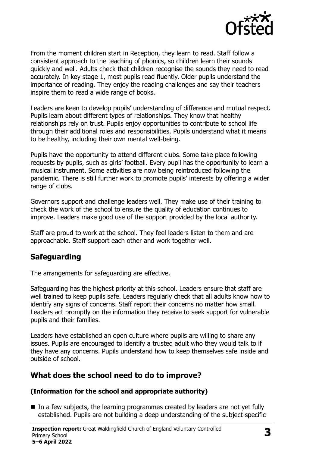

From the moment children start in Reception, they learn to read. Staff follow a consistent approach to the teaching of phonics, so children learn their sounds quickly and well. Adults check that children recognise the sounds they need to read accurately. In key stage 1, most pupils read fluently. Older pupils understand the importance of reading. They enjoy the reading challenges and say their teachers inspire them to read a wide range of books.

Leaders are keen to develop pupils' understanding of difference and mutual respect. Pupils learn about different types of relationships. They know that healthy relationships rely on trust. Pupils enjoy opportunities to contribute to school life through their additional roles and responsibilities. Pupils understand what it means to be healthy, including their own mental well-being.

Pupils have the opportunity to attend different clubs. Some take place following requests by pupils, such as girls' football. Every pupil has the opportunity to learn a musical instrument. Some activities are now being reintroduced following the pandemic. There is still further work to promote pupils' interests by offering a wider range of clubs.

Governors support and challenge leaders well. They make use of their training to check the work of the school to ensure the quality of education continues to improve. Leaders make good use of the support provided by the local authority.

Staff are proud to work at the school. They feel leaders listen to them and are approachable. Staff support each other and work together well.

#### **Safeguarding**

The arrangements for safeguarding are effective.

Safeguarding has the highest priority at this school. Leaders ensure that staff are well trained to keep pupils safe. Leaders regularly check that all adults know how to identify any signs of concerns. Staff report their concerns no matter how small. Leaders act promptly on the information they receive to seek support for vulnerable pupils and their families.

Leaders have established an open culture where pupils are willing to share any issues. Pupils are encouraged to identify a trusted adult who they would talk to if they have any concerns. Pupils understand how to keep themselves safe inside and outside of school.

#### **What does the school need to do to improve?**

#### **(Information for the school and appropriate authority)**

In a few subjects, the learning programmes created by leaders are not yet fully established. Pupils are not building a deep understanding of the subject-specific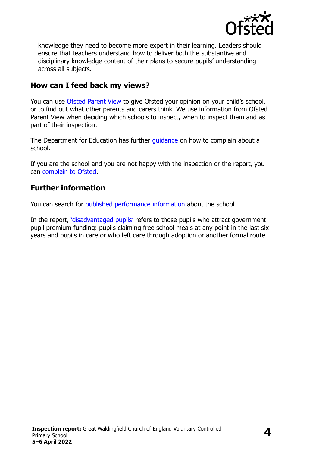

knowledge they need to become more expert in their learning. Leaders should ensure that teachers understand how to deliver both the substantive and disciplinary knowledge content of their plans to secure pupils' understanding across all subjects.

### **How can I feed back my views?**

You can use [Ofsted Parent View](http://parentview.ofsted.gov.uk/) to give Ofsted your opinion on your child's school, or to find out what other parents and carers think. We use information from Ofsted Parent View when deciding which schools to inspect, when to inspect them and as part of their inspection.

The Department for Education has further [guidance](http://www.gov.uk/complain-about-school) on how to complain about a school.

If you are the school and you are not happy with the inspection or the report, you can [complain to Ofsted.](http://www.gov.uk/complain-ofsted-report)

## **Further information**

You can search for [published performance information](http://www.compare-school-performance.service.gov.uk/) about the school.

In the report, '[disadvantaged pupils](http://www.gov.uk/guidance/pupil-premium-information-for-schools-and-alternative-provision-settings)' refers to those pupils who attract government pupil premium funding: pupils claiming free school meals at any point in the last six years and pupils in care or who left care through adoption or another formal route.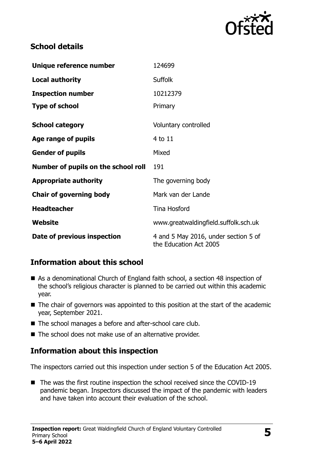

# **School details**

| Unique reference number             | 124699                                                         |
|-------------------------------------|----------------------------------------------------------------|
| <b>Local authority</b>              | <b>Suffolk</b>                                                 |
| <b>Inspection number</b>            | 10212379                                                       |
| <b>Type of school</b>               | Primary                                                        |
| <b>School category</b>              | Voluntary controlled                                           |
| Age range of pupils                 | 4 to 11                                                        |
| <b>Gender of pupils</b>             | Mixed                                                          |
| Number of pupils on the school roll | 191                                                            |
| <b>Appropriate authority</b>        | The governing body                                             |
| <b>Chair of governing body</b>      | Mark van der Lande                                             |
| <b>Headteacher</b>                  | <b>Tina Hosford</b>                                            |
| Website                             | www.greatwaldingfield.suffolk.sch.uk                           |
| Date of previous inspection         | 4 and 5 May 2016, under section 5 of<br>the Education Act 2005 |

# **Information about this school**

- As a denominational Church of England faith school, a section 48 inspection of the school's religious character is planned to be carried out within this academic year.
- The chair of governors was appointed to this position at the start of the academic year, September 2021.
- The school manages a before and after-school care club.
- The school does not make use of an alternative provider.

#### **Information about this inspection**

The inspectors carried out this inspection under section 5 of the Education Act 2005.

■ The was the first routine inspection the school received since the COVID-19 pandemic began. Inspectors discussed the impact of the pandemic with leaders and have taken into account their evaluation of the school.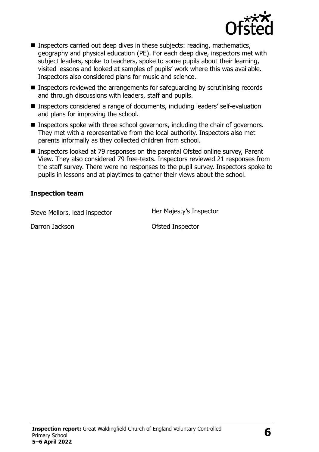

- **Inspectors carried out deep dives in these subjects: reading, mathematics,** geography and physical education (PE). For each deep dive, inspectors met with subject leaders, spoke to teachers, spoke to some pupils about their learning, visited lessons and looked at samples of pupils' work where this was available. Inspectors also considered plans for music and science.
- Inspectors reviewed the arrangements for safeguarding by scrutinising records and through discussions with leaders, staff and pupils.
- Inspectors considered a range of documents, including leaders' self-evaluation and plans for improving the school.
- **Inspectors spoke with three school governors, including the chair of governors.** They met with a representative from the local authority. Inspectors also met parents informally as they collected children from school.
- Inspectors looked at 79 responses on the parental Ofsted online survey, Parent View. They also considered 79 free-texts. Inspectors reviewed 21 responses from the staff survey. There were no responses to the pupil survey. Inspectors spoke to pupils in lessons and at playtimes to gather their views about the school.

#### **Inspection team**

Steve Mellors, lead inspector **Her Majesty's Inspector** 

Darron Jackson **Darron Construction** Ofsted Inspector